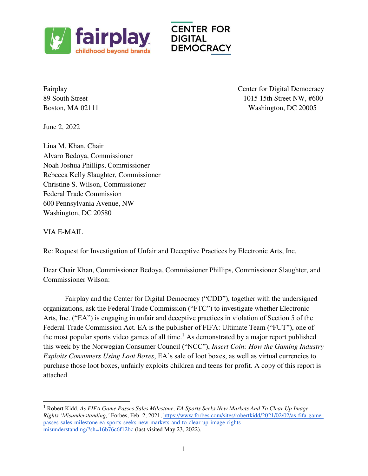

Fairplay Center for Digital Democracy 89 South Street 1015 15th Street NW,  $\#600$ Boston, MA 02111 Washington, DC 20005

June 2, 2022

Lina M. Khan, Chair Alvaro Bedoya, Commissioner Noah Joshua Phillips, Commissioner Rebecca Kelly Slaughter, Commissioner Christine S. Wilson, Commissioner Federal Trade Commission 600 Pennsylvania Avenue, NW Washington, DC 20580

VIA E-MAIL

L

Re: Request for Investigation of Unfair and Deceptive Practices by Electronic Arts, Inc.

Dear Chair Khan, Commissioner Bedoya, Commissioner Phillips, Commissioner Slaughter, and Commissioner Wilson:

Fairplay and the Center for Digital Democracy ("CDD"), together with the undersigned organizations, ask the Federal Trade Commission ("FTC") to investigate whether Electronic Arts, Inc. ("EA") is engaging in unfair and deceptive practices in violation of Section 5 of the Federal Trade Commission Act. EA is the publisher of FIFA: Ultimate Team ("FUT"), one of the most popular sports video games of all time.<sup>1</sup> As demonstrated by a major report published this week by the Norwegian Consumer Council ("NCC"), *Insert Coin: How the Gaming Industry Exploits Consumers Using Loot Boxes*, EA's sale of loot boxes, as well as virtual currencies to purchase those loot boxes, unfairly exploits children and teens for profit. A copy of this report is attached.

<sup>1</sup> Robert Kidd, *As FIFA Game Passes Sales Milestone, EA Sports Seeks New Markets And To Clear Up Image Rights 'Misunderstanding,'* Forbes, Feb. 2, 2021[, https://www.forbes.com/sites/robertkidd/2021/02/02/as-fifa-game](https://www.forbes.com/sites/robertkidd/2021/02/02/as-fifa-game-passes-sales-milestone-ea-sports-seeks-new-markets-and-to-clear-up-image-rights-misunderstanding/?sh=16b76c6f12bc)[passes-sales-milestone-ea-sports-seeks-new-markets-and-to-clear-up-image-rights](https://www.forbes.com/sites/robertkidd/2021/02/02/as-fifa-game-passes-sales-milestone-ea-sports-seeks-new-markets-and-to-clear-up-image-rights-misunderstanding/?sh=16b76c6f12bc)[misunderstanding/?sh=16b76c6f12bc](https://www.forbes.com/sites/robertkidd/2021/02/02/as-fifa-game-passes-sales-milestone-ea-sports-seeks-new-markets-and-to-clear-up-image-rights-misunderstanding/?sh=16b76c6f12bc) (last visited May 23, 2022).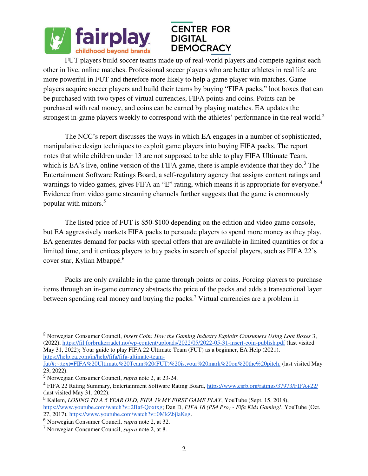

FUT players build soccer teams made up of real-world players and compete against each other in live, online matches. Professional soccer players who are better athletes in real life are more powerful in FUT and therefore more likely to help a game player win matches. Game players acquire soccer players and build their teams by buying "FIFA packs," loot boxes that can be purchased with two types of virtual currencies, FIFA points and coins. Points can be purchased with real money, and coins can be earned by playing matches. EA updates the strongest in-game players weekly to correspond with the athletes' performance in the real world.<sup>2</sup>

The NCC's report discusses the ways in which EA engages in a number of sophisticated, manipulative design techniques to exploit game players into buying FIFA packs. The report notes that while children under 13 are not supposed to be able to play FIFA Ultimate Team, which is EA's live, online version of the FIFA game, there is ample evidence that they do.<sup>3</sup> The Entertainment Software Ratings Board, a self-regulatory agency that assigns content ratings and warnings to video games, gives FIFA an "E" rating, which means it is appropriate for everyone.<sup>4</sup> Evidence from video game streaming channels further suggests that the game is enormously popular with minors.<sup>5</sup>

The listed price of FUT is \$50-\$100 depending on the edition and video game console, but EA aggressively markets FIFA packs to persuade players to spend more money as they play. EA generates demand for packs with special offers that are available in limited quantities or for a limited time, and it entices players to buy packs in search of special players, such as FIFA 22's cover star, Kylian Mbappé.<sup>6</sup>

Packs are only available in the game through points or coins. Forcing players to purchase items through an in-game currency abstracts the price of the packs and adds a transactional layer between spending real money and buying the packs.<sup>7</sup> Virtual currencies are a problem in

[https://help.ea.com/in/help/fifa/fifa-ultimate-team-](https://help.ea.com/in/help/fifa/fifa-ultimate-team-fut/#:~:text=FIFA%20Ultimate%20Team%20(FUT)%20is,your%20mark%20on%20the%20pitch.)

L

5 Kailem, *LOSING TO A 5 YEAR OLD, FIFA 19 MY FIRST GAME PLAY*, YouTube (Sept. 15, 2018),

<sup>&</sup>lt;sup>2</sup> Norwegian Consumer Council, *Insert Coin: How the Gaming Industry Exploits Consumers Using Loot Boxes 3*, (2022)[, https://fil.forbrukerradet.no/wp-content/uploads/2022/05/2022-05-31-insert-coin-publish.pdf \(](https://fil.forbrukerradet.no/wp-content/uploads/2022/05/2022-05-31-insert-coin-publish.pdf)last visited May 31, 2022); Your guide to play FIFA 22 Ultimate Team (FUT) as a beginner, EA Help (2021)[,](https://help.ea.com/in/help/fifa/fifa-ultimate-team-fut/#:~:text=FIFA%20Ultimate%20Team%20(FUT)%20is,your%20mark%20on%20the%20pitch.) 

[fut/#:~:text=FIFA%20Ultimate%20Team%20\(FUT\)%20is,your%20mark%20on%20the%20pitch.](https://help.ea.com/in/help/fifa/fifa-ultimate-team-fut/#:~:text=FIFA%20Ultimate%20Team%20(FUT)%20is,your%20mark%20on%20the%20pitch.) (last visited May 23, 2022).

<sup>3</sup> Norwegian Consumer Council, *supra* note 2, at 23-24.

<sup>&</sup>lt;sup>4</sup> FIFA 22 Rating Summary, Entertainment Software Rating Board[, https://www.esrb.org/ratings/37973/FIFA+22/](https://www.esrb.org/ratings/37973/FIFA+22/) (last visited May 31, 2022).

[https://www.youtube.com/watch?v=2Baf-Qoxtxg;](https://www.youtube.com/watch?v=2Baf-Qoxtxg) Dan D, *FIFA 18 (PS4 Pro) - Fifa Kids Gaming!*, YouTube (Oct. 27, 2017), [https://www.youtube.com/watch?v=0MkZbjlaKsg.](https://www.youtube.com/watch?v=0MkZbjlaKsg)

<sup>6</sup> Norwegian Consumer Council, *supra* note 2, at 32.

<sup>7</sup> Norwegian Consumer Council, *supra* note 2, at 8.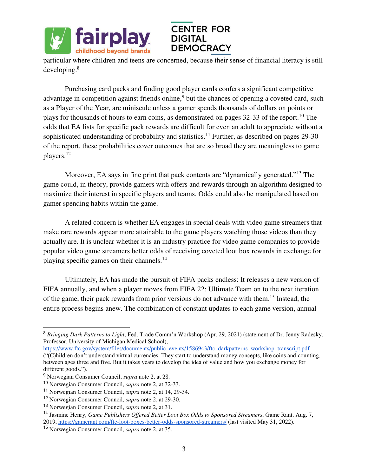

particular where children and teens are concerned, because their sense of financial literacy is still developing.<sup>8</sup>

Purchasing card packs and finding good player cards confers a significant competitive advantage in competition against friends online,<sup>9</sup> but the chances of opening a coveted card, such as a Player of the Year, are miniscule unless a gamer spends thousands of dollars on points or plays for thousands of hours to earn coins, as demonstrated on pages 32-33 of the report.<sup>10</sup> The odds that EA lists for specific pack rewards are difficult for even an adult to appreciate without a sophisticated understanding of probability and statistics.<sup>11</sup> Further, as described on pages 29-30 of the report, these probabilities cover outcomes that are so broad they are meaningless to game players.<sup>12</sup>

Moreover, EA says in fine print that pack contents are "dynamically generated."<sup>13</sup> The game could, in theory, provide gamers with offers and rewards through an algorithm designed to maximize their interest in specific players and teams. Odds could also be manipulated based on gamer spending habits within the game.

A related concern is whether EA engages in special deals with video game streamers that make rare rewards appear more attainable to the game players watching those videos than they actually are. It is unclear whether it is an industry practice for video game companies to provide popular video game streamers better odds of receiving coveted loot box rewards in exchange for playing specific games on their channels.<sup>14</sup>

Ultimately, EA has made the pursuit of FIFA packs endless: It releases a new version of FIFA annually, and when a player moves from FIFA 22: Ultimate Team on to the next iteration of the game, their pack rewards from prior versions do not advance with them.<sup>15</sup> Instead, the entire process begins anew. The combination of constant updates to each game version, annual

l.

<sup>8</sup> *Bringing Dark Patterns to Light*, Fed. Trade Comm'n Workshop (Apr. 29, 2021) (statement of Dr. Jenny Radesky, Professor, University of Michigan Medical School),

https://www.ftc.gov/system/files/documents/public\_events/1586943/ftc\_darkpatterns\_workshop\_transcript.pdf ("(C)hildren don't understand virtual currencies. They start to understand money concepts, like coins and counting, between ages three and five. But it takes years to develop the idea of value and how you exchange money for different goods.").

<sup>9</sup> Norwegian Consumer Council, *supra* note 2, at 28.

<sup>10</sup> Norwegian Consumer Council, *supra* note 2, at 32-33.

<sup>11</sup> Norwegian Consumer Council, *supra* note 2, at 14, 29-34.

<sup>12</sup> Norwegian Consumer Council, *supra* note 2, at 29-30.

<sup>13</sup> Norwegian Consumer Council, *supra* note 2, at 31.

<sup>14</sup> Jasmine Henry, *Game Publishers Offered Better Loot Box Odds to Sponsored Streamers*, Game Rant, Aug. 7, 201[9,](https://gamerant.com/ftc-loot-boxes-better-odds-sponsored-streamers/) <https://gamerant.com/ftc-loot-boxes-better-odds-sponsored-streamers/>(last visited May 31, 2022).

<sup>15</sup> Norwegian Consumer Council, *supra* note 2, at 35.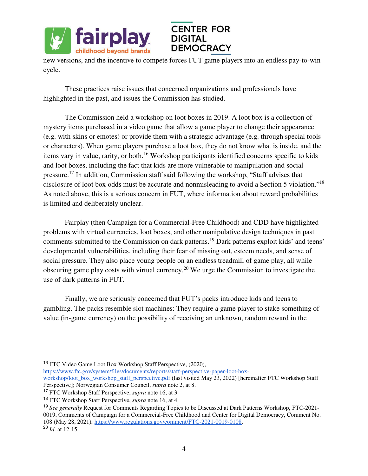

new versions, and the incentive to compete forces FUT game players into an endless pay-to-win cycle.

These practices raise issues that concerned organizations and professionals have highlighted in the past, and issues the Commission has studied.

The Commission held a workshop on loot boxes in 2019. A loot box is a collection of mystery items purchased in a video game that allow a game player to change their appearance (e.g. with skins or emotes) or provide them with a strategic advantage (e.g. through special tools or characters). When game players purchase a loot box, they do not know what is inside, and the items vary in value, rarity, or both.<sup>16</sup> Workshop participants identified concerns specific to kids and loot boxes, including the fact that kids are more vulnerable to manipulation and social pressure.<sup>17</sup> In addition, Commission staff said following the workshop, "Staff advises that disclosure of loot box odds must be accurate and nonmisleading to avoid a Section 5 violation."<sup>18</sup> As noted above, this is a serious concern in FUT, where information about reward probabilities is limited and deliberately unclear.

 Fairplay (then Campaign for a Commercial-Free Childhood) and CDD have highlighted problems with virtual currencies, loot boxes, and other manipulative design techniques in past comments submitted to the Commission on dark patterns.<sup>19</sup> Dark patterns exploit kids' and teens' developmental vulnerabilities, including their fear of missing out, esteem needs, and sense of social pressure. They also place young people on an endless treadmill of game play, all while obscuring game play costs with virtual currency.<sup>20</sup> We urge the Commission to investigate the use of dark patterns in FUT.

Finally, we are seriously concerned that FUT's packs introduce kids and teens to gambling. The packs resemble slot machines: They require a game player to stake something of value (in-game currency) on the possibility of receiving an unknown, random reward in the

<sup>16</sup> FTC Video Game Loot Box Workshop Staff Perspective, (2020)[,](https://www.ftc.gov/system/files/documents/reports/staff-perspective-paper-loot-box-workshop/loot_box_workshop_staff_perspective.pdf) 

[https://www.ftc.gov/system/files/documents/reports/staff-perspective-paper-loot-box-](https://www.ftc.gov/system/files/documents/reports/staff-perspective-paper-loot-box-workshop/loot_box_workshop_staff_perspective.pdf)

[workshop/loot\\_box\\_workshop\\_staff\\_perspective.pdf \(](https://www.ftc.gov/system/files/documents/reports/staff-perspective-paper-loot-box-workshop/loot_box_workshop_staff_perspective.pdf)last visited May 23, 2022) [hereinafter FTC Workshop Staff Perspective]; Norwegian Consumer Council, *supra* note 2, at 8.

<sup>17</sup> FTC Workshop Staff Perspective, *supra* note 16, at 3.

l.

<sup>18</sup> FTC Workshop Staff Perspective, *supra* note 16, at 4.

<sup>19</sup> *See generally* Request for Comments Regarding Topics to be Discussed at Dark Patterns Workshop, FTC-2021- 0019, Comments of Campaign for a Commercial-Free Childhood and Center for Digital Democracy, Comment No. 108 (May 28, 2021), [https://www.regulations.gov/comment/FTC-2021-0019-0108.](https://www.regulations.gov/comment/FTC-2021-0019-0108) <sup>20</sup> *Id*. at 12-15.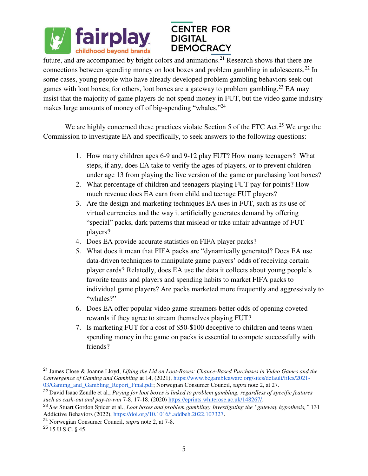

future, and are accompanied by bright colors and animations.<sup>21</sup> Research shows that there are connections between spending money on loot boxes and problem gambling in adolescents.<sup>22</sup> In some cases, young people who have already developed problem gambling behaviors seek out games with loot boxes; for others, loot boxes are a gateway to problem gambling.<sup>23</sup> EA may insist that the majority of game players do not spend money in FUT, but the video game industry makes large amounts of money off of big-spending "whales."<sup>24</sup>

We are highly concerned these practices violate Section 5 of the FTC Act.<sup>25</sup> We urge the Commission to investigate EA and specifically, to seek answers to the following questions:

- 1. How many children ages 6-9 and 9-12 play FUT? How many teenagers? What steps, if any, does EA take to verify the ages of players, or to prevent children under age 13 from playing the live version of the game or purchasing loot boxes?
- 2. What percentage of children and teenagers playing FUT pay for points? How much revenue does EA earn from child and teenage FUT players?
- 3. Are the design and marketing techniques EA uses in FUT, such as its use of virtual currencies and the way it artificially generates demand by offering "special" packs, dark patterns that mislead or take unfair advantage of FUT players?
- 4. Does EA provide accurate statistics on FIFA player packs?
- 5. What does it mean that FIFA packs are "dynamically generated? Does EA use data-driven techniques to manipulate game players' odds of receiving certain player cards? Relatedly, does EA use the data it collects about young people's favorite teams and players and spending habits to market FIFA packs to individual game players? Are packs marketed more frequently and aggressively to "whales?"
- 6. Does EA offer popular video game streamers better odds of opening coveted rewards if they agree to stream themselves playing FUT?
- 7. Is marketing FUT for a cost of \$50-\$100 deceptive to children and teens when spending money in the game on packs is essential to compete successfully with friends?

L

<sup>21</sup> James Close & Joanne Lloyd, *Lifting the Lid on Loot-Boxes: Chance-Based Purchases in Video Games and the Convergence of Gaming and Gambling* at 14, (2021)[, https://www.begambleaware.org/sites/default/files/2021-](https://www.begambleaware.org/sites/default/files/2021-03/Gaming_and_Gambling_Report_Final.pdf) [03/Gaming\\_and\\_Gambling\\_Report\\_Final.pdf;](https://www.begambleaware.org/sites/default/files/2021-03/Gaming_and_Gambling_Report_Final.pdf) Norwegian Consumer Council, *supra* note 2, at 27.

<sup>22</sup> David Isaac Zendle et al., *Paying for loot boxes is linked to problem gambling, regardless of specific features such as cash-out and pay-to-win* 7-8, 17-18, (2020[\) https://eprints.whiterose.ac.uk/148267/.](https://eprints.whiterose.ac.uk/148267/)

<sup>23</sup> *See* Stuart Gordon Spicer et al., *Loot boxes and problem gambling: Investigating the "gateway hypothesis,"* 131 Addictive Behaviors (2022)[, https://doi.org/10.1016/j.addbeh.2022.107327.](https://doi.org/10.1016/j.addbeh.2022.107327)

<sup>24</sup> Norwegian Consumer Council, *supra* note 2, at 7-8.

 $^{25}$  15 U.S.C. § 45.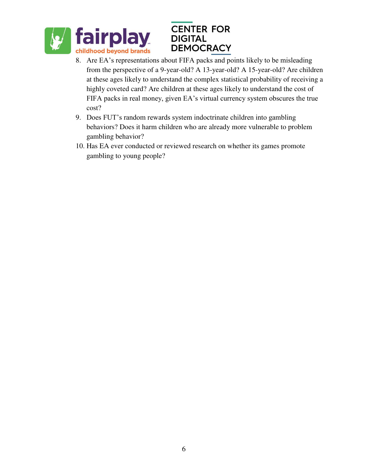

- 8. Are EA's representations about FIFA packs and points likely to be misleading from the perspective of a 9-year-old? A 13-year-old? A 15-year-old? Are children at these ages likely to understand the complex statistical probability of receiving a highly coveted card? Are children at these ages likely to understand the cost of FIFA packs in real money, given EA's virtual currency system obscures the true cost?
- 9. Does FUT's random rewards system indoctrinate children into gambling behaviors? Does it harm children who are already more vulnerable to problem gambling behavior?
- 10. Has EA ever conducted or reviewed research on whether its games promote gambling to young people?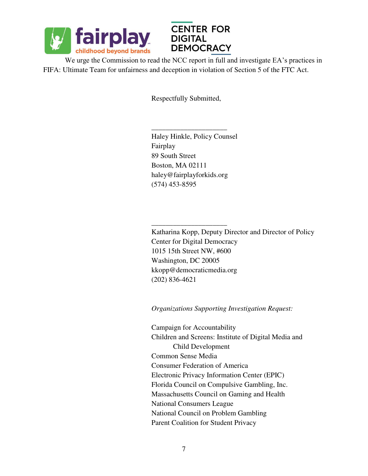

 $\frac{1}{2}$  ,  $\frac{1}{2}$  ,  $\frac{1}{2}$  ,  $\frac{1}{2}$  ,  $\frac{1}{2}$  ,  $\frac{1}{2}$  ,  $\frac{1}{2}$  ,  $\frac{1}{2}$  ,  $\frac{1}{2}$  ,  $\frac{1}{2}$  ,  $\frac{1}{2}$  ,  $\frac{1}{2}$  ,  $\frac{1}{2}$  ,  $\frac{1}{2}$  ,  $\frac{1}{2}$  ,  $\frac{1}{2}$  ,  $\frac{1}{2}$  ,  $\frac{1}{2}$  ,  $\frac{1$ 



We urge the Commission to read the NCC report in full and investigate EA's practices in FIFA: Ultimate Team for unfairness and deception in violation of Section 5 of the FTC Act.

Respectfully Submitted,

 Haley Hinkle, Policy Counsel Fairplay 89 South Street Boston, MA 02111 haley@fairplayforkids.org (574) 453-8595

\_\_\_\_\_\_\_\_\_\_\_\_\_\_\_\_\_\_\_\_\_

 Katharina Kopp, Deputy Director and Director of Policy Center for Digital Democracy 1015 15th Street NW, #600 Washington, DC 20005 kkopp@democraticmedia.org (202) 836-4621

*Organizations Supporting Investigation Request:* 

 Campaign for Accountability Children and Screens: Institute of Digital Media and Child Development Common Sense Media Consumer Federation of America Electronic Privacy Information Center (EPIC) Florida Council on Compulsive Gambling, Inc. Massachusetts Council on Gaming and Health National Consumers League National Council on Problem Gambling Parent Coalition for Student Privacy